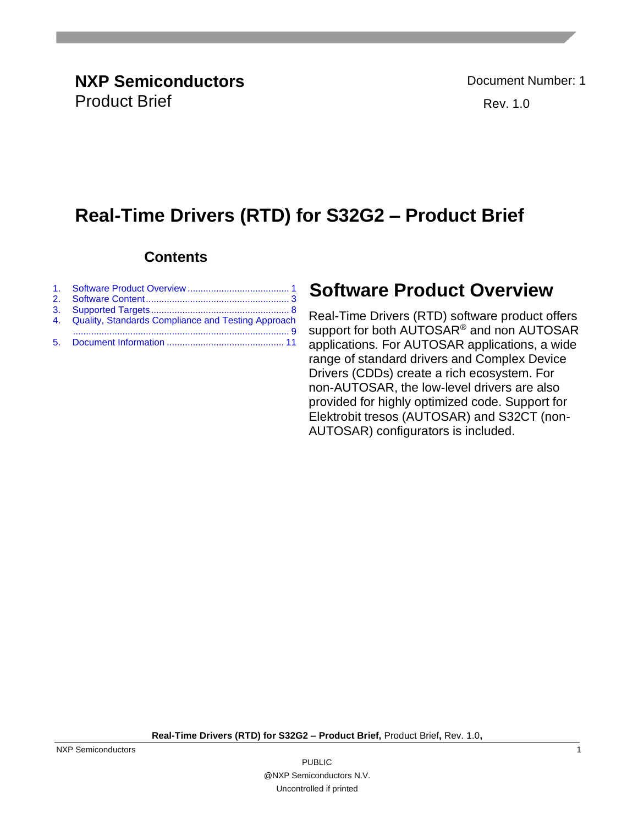### **Real-Time Drivers (RTD) for S32G2 – Product Brief**

#### **Contents**

| 4. Quality, Standards Compliance and Testing Approach |
|-------------------------------------------------------|
|                                                       |

#### <span id="page-0-0"></span>**Software Product Overview**

Real-Time Drivers (RTD) software product offers support for both AUTOSAR® and non AUTOSAR applications. For AUTOSAR applications, a wide range of standard drivers and Complex Device Drivers (CDDs) create a rich ecosystem. For non-AUTOSAR, the low-level drivers are also provided for highly optimized code. Support for Elektrobit tresos (AUTOSAR) and S32CT (non-AUTOSAR) configurators is included.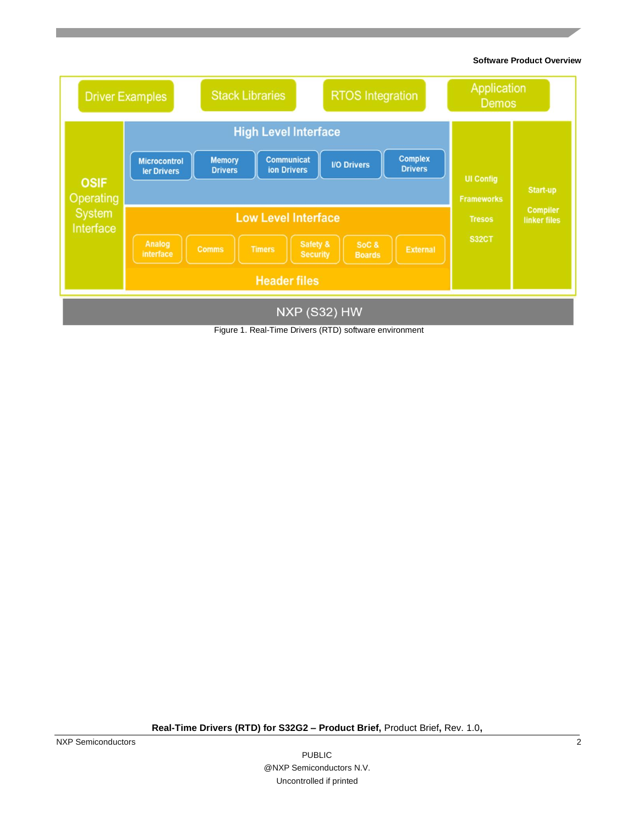**Software Product Overview**



Figure 1. Real-Time Drivers (RTD) software environment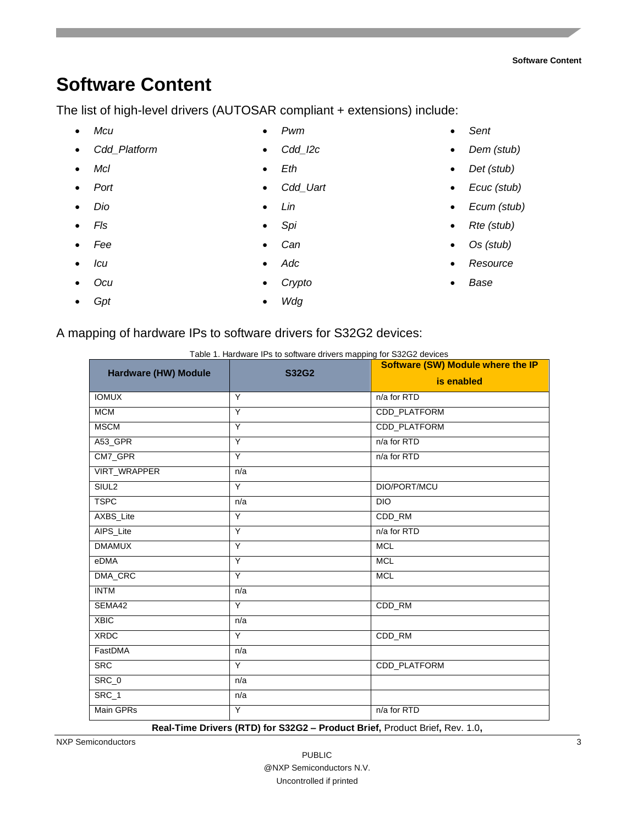# <span id="page-2-0"></span>**Software Content**

The list of high-level drivers (AUTOSAR compliant + extensions) include:

- *Mcu*
- *Cdd\_Platform*
- *Mcl*
- *Port*
- *Dio*
- *Fls*
- *Fee*
- *Icu*
- *Ocu*
- *Gpt*
- 
- *Pwm*
- *Cdd\_I2c*
- *Eth*
- *Cdd\_Uart*
- *Lin*
- *Spi*
- *Can*
- *Adc*
- *Crypto*
- *Wdg*
- *Sent*
- *Dem (stub)*
- *Det (stub)*
- *Ecuc (stub)*
- *Ecum (stub)*
- *Rte (stub)*
- *Os (stub)*
- *Resource*
- *Base*

| A mapping of hardware IPs to software drivers for S32G2 devices: |  |  |  |  |  |  |  |
|------------------------------------------------------------------|--|--|--|--|--|--|--|
|                                                                  |  |  |  |  |  |  |  |

| <b>Hardware (HW) Module</b> | Table 1. Hardware IPs to software drivers mapping for S32G2 devices<br><b>S32G2</b> | <b>Software (SW) Module where the IP</b> |
|-----------------------------|-------------------------------------------------------------------------------------|------------------------------------------|
|                             |                                                                                     | is enabled                               |
| <b>IOMUX</b>                | Y                                                                                   | n/a for RTD                              |
| <b>MCM</b>                  | Y                                                                                   | CDD_PLATFORM                             |
| <b>MSCM</b>                 | Y                                                                                   | CDD_PLATFORM                             |
| A53_GPR                     | Y                                                                                   | n/a for RTD                              |
| CM7_GPR                     | Y                                                                                   | n/a for RTD                              |
| VIRT_WRAPPER                | n/a                                                                                 |                                          |
| SIUL <sub>2</sub>           | Y                                                                                   | DIO/PORT/MCU                             |
| <b>TSPC</b>                 | n/a                                                                                 | <b>DIO</b>                               |
| AXBS_Lite                   | Y                                                                                   | CDD_RM                                   |
| AIPS_Lite                   | Y                                                                                   | n/a for RTD                              |
| <b>DMAMUX</b>               | Y                                                                                   | <b>MCL</b>                               |
| eDMA                        | Y                                                                                   | <b>MCL</b>                               |
| DMA_CRC                     | Y                                                                                   | <b>MCL</b>                               |
| <b>INTM</b>                 | n/a                                                                                 |                                          |
| SEMA42                      | Y                                                                                   | CDD_RM                                   |
| <b>XBIC</b>                 | n/a                                                                                 |                                          |
| <b>XRDC</b>                 | Y                                                                                   | CDD_RM                                   |
| FastDMA                     | n/a                                                                                 |                                          |
| <b>SRC</b>                  | Y                                                                                   | CDD_PLATFORM                             |
| SRC_0                       | n/a                                                                                 |                                          |
| SRC_1                       | n/a                                                                                 |                                          |
| Main GPRs                   | Y                                                                                   | n/a for RTD                              |

**Real-Time Drivers (RTD) for S32G2 – Product Brief,** Product Brief**,** Rev. 1.0**,**

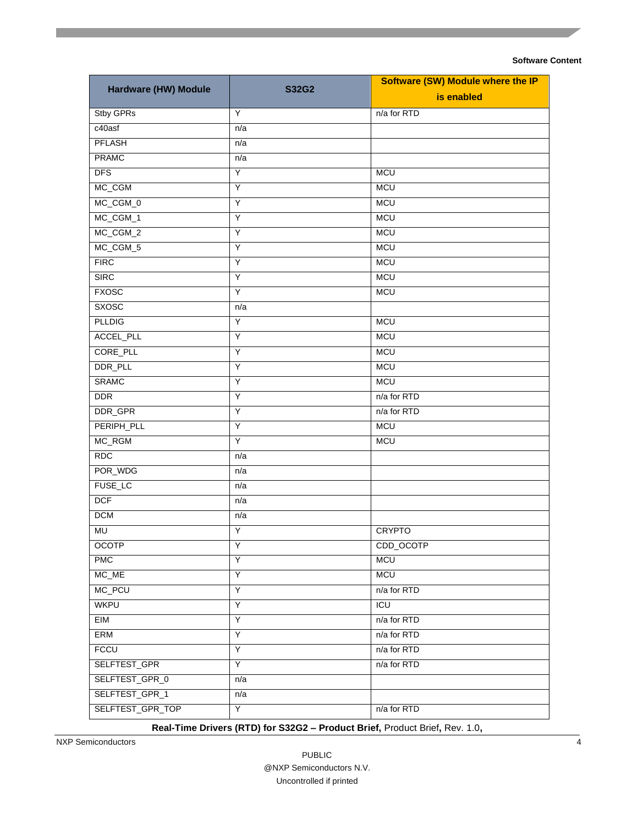|                                 |              | <b>Software (SW) Module where the IP</b> |  |  |  |  |
|---------------------------------|--------------|------------------------------------------|--|--|--|--|
| <b>Hardware (HW) Module</b>     | <b>S32G2</b> | is enabled                               |  |  |  |  |
| Stby GPRs                       | Y            | n/a for RTD                              |  |  |  |  |
| $c40$ asf                       | n/a          |                                          |  |  |  |  |
| <b>PFLASH</b>                   | n/a          |                                          |  |  |  |  |
| <b>PRAMC</b>                    | n/a          |                                          |  |  |  |  |
| <b>DFS</b>                      | Y            | <b>MCU</b>                               |  |  |  |  |
| MC_CGM                          | Υ            | <b>MCU</b>                               |  |  |  |  |
| MC_CGM_0                        | Y            | <b>MCU</b>                               |  |  |  |  |
| MC_CGM_1                        | Y            | <b>MCU</b>                               |  |  |  |  |
| MC_CGM_2                        | Υ            | <b>MCU</b>                               |  |  |  |  |
| MC_CGM_5                        | Y            | <b>MCU</b>                               |  |  |  |  |
| <b>FIRC</b>                     | Y            | <b>MCU</b>                               |  |  |  |  |
| <b>SIRC</b>                     | Υ            | <b>MCU</b>                               |  |  |  |  |
| <b>FXOSC</b>                    | Y            | <b>MCU</b>                               |  |  |  |  |
| <b>SXOSC</b>                    | n/a          |                                          |  |  |  |  |
| <b>PLLDIG</b>                   | Y            | <b>MCU</b>                               |  |  |  |  |
| ACCEL_PLL                       | Υ            | <b>MCU</b>                               |  |  |  |  |
| CORE_PLL                        | Y            | <b>MCU</b>                               |  |  |  |  |
| DDR_PLL                         | Y            | <b>MCU</b>                               |  |  |  |  |
| <b>SRAMC</b>                    | Υ            | <b>MCU</b>                               |  |  |  |  |
| <b>DDR</b>                      | Y            | n/a for RTD                              |  |  |  |  |
| DDR_GPR                         | Y            | n/a for RTD                              |  |  |  |  |
| PERIPH_PLL                      | Υ            | <b>MCU</b>                               |  |  |  |  |
| MC_RGM                          | Y            | <b>MCU</b>                               |  |  |  |  |
| RDC                             | n/a          |                                          |  |  |  |  |
| POR_WDG                         | n/a          |                                          |  |  |  |  |
| FUSE_LC                         | n/a          |                                          |  |  |  |  |
| <b>DCF</b>                      | n/a          |                                          |  |  |  |  |
| <b>DCM</b>                      | n/a          |                                          |  |  |  |  |
| MU                              | Y            | <b>CRYPTO</b>                            |  |  |  |  |
| <b>OCOTP</b>                    | Υ            | CDD_OCOTP                                |  |  |  |  |
| <b>PMC</b>                      | Y            | <b>MCU</b>                               |  |  |  |  |
| $MC$ <sub><math>ME</math></sub> | Υ            | <b>MCU</b>                               |  |  |  |  |
| MC_PCU                          | Υ            | n/a for RTD                              |  |  |  |  |
| <b>WKPU</b>                     | Y            | ICU                                      |  |  |  |  |
| EIM                             | Υ            | n/a for RTD                              |  |  |  |  |
| ERM                             | Υ            | n/a for RTD                              |  |  |  |  |
| <b>FCCU</b>                     | Y            | n/a for RTD                              |  |  |  |  |
| SELFTEST_GPR                    | Υ            | n/a for RTD                              |  |  |  |  |
| SELFTEST_GPR_0                  | n/a          |                                          |  |  |  |  |
| SELFTEST_GPR_1                  | n/a          |                                          |  |  |  |  |
| SELFTEST_GPR_TOP                | Y            | n/a for RTD                              |  |  |  |  |

**Real-Time Drivers (RTD) for S32G2 – Product Brief,** Product Brief**,** Rev. 1.0**,**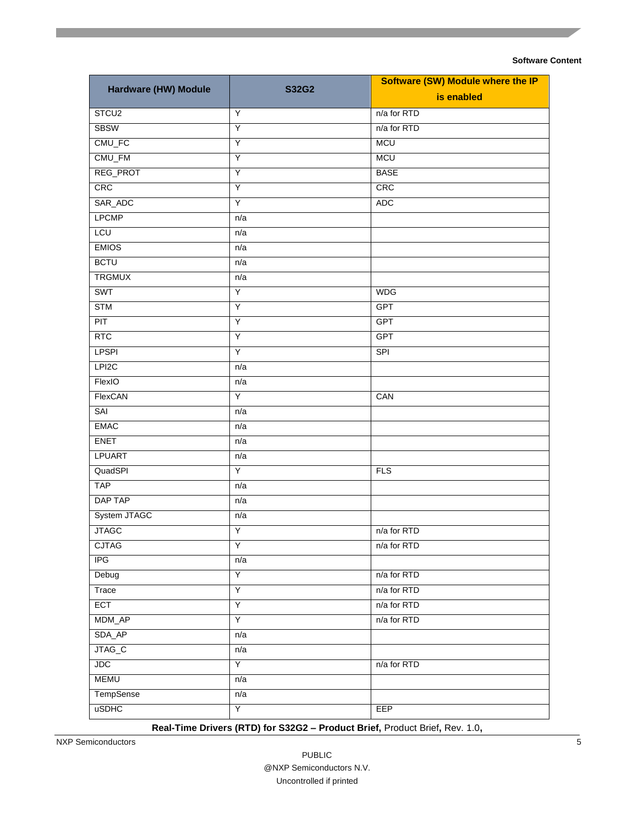|                      |              | <b>Software (SW) Module where the IP</b> |  |  |  |  |
|----------------------|--------------|------------------------------------------|--|--|--|--|
| Hardware (HW) Module | <b>S32G2</b> | is enabled                               |  |  |  |  |
| STCU <sub>2</sub>    | Y            | n/a for RTD                              |  |  |  |  |
| <b>SBSW</b>          | Y            | n/a for RTD                              |  |  |  |  |
| $CMU$ <sub>FC</sub>  | Ÿ            | <b>MCU</b>                               |  |  |  |  |
| CMU_FM               | Υ            | <b>MCU</b>                               |  |  |  |  |
| REG_PROT             | Y            | <b>BASE</b>                              |  |  |  |  |
| CRC                  | Y            | CRC                                      |  |  |  |  |
| SAR_ADC              | Y            | <b>ADC</b>                               |  |  |  |  |
| <b>LPCMP</b>         | n/a          |                                          |  |  |  |  |
| <b>LCU</b>           | n/a          |                                          |  |  |  |  |
| <b>EMIOS</b>         | n/a          |                                          |  |  |  |  |
| <b>BCTU</b>          | n/a          |                                          |  |  |  |  |
| <b>TRGMUX</b>        | n/a          |                                          |  |  |  |  |
| <b>SWT</b>           | Y            | <b>WDG</b>                               |  |  |  |  |
| <b>STM</b>           | Y            | GPT                                      |  |  |  |  |
| <b>PIT</b>           | Υ            | GPT                                      |  |  |  |  |
| <b>RTC</b>           | Y            | <b>GPT</b>                               |  |  |  |  |
| <b>LPSPI</b>         | Y            | <b>SPI</b>                               |  |  |  |  |
| LPI <sub>2C</sub>    | n/a          |                                          |  |  |  |  |
| FlexIO               | n/a          |                                          |  |  |  |  |
| FlexCAN              | Y            | CAN                                      |  |  |  |  |
| SAI                  | n/a          |                                          |  |  |  |  |
| <b>EMAC</b>          | n/a          |                                          |  |  |  |  |
| <b>ENET</b>          | n/a          |                                          |  |  |  |  |
| <b>LPUART</b>        | n/a          |                                          |  |  |  |  |
| QuadSPI              | Y            | FLS                                      |  |  |  |  |
| <b>TAP</b>           | n/a          |                                          |  |  |  |  |
| DAP TAP              | n/a          |                                          |  |  |  |  |
| System JTAGC         | n/a          |                                          |  |  |  |  |
| <b>JTAGC</b>         | Ϋ            | n/a for RTD                              |  |  |  |  |
| <b>CJTAG</b>         | Υ            | n/a for RTD                              |  |  |  |  |
| IPG                  | n/a          |                                          |  |  |  |  |
| Debug                | Ϋ            | n/a for RTD                              |  |  |  |  |
| Trace                | Y            | n/a for RTD                              |  |  |  |  |
| ECT                  | Y            | n/a for RTD                              |  |  |  |  |
| MDM_AP               | Y            | n/a for RTD                              |  |  |  |  |
| SDA_AP               | n/a          |                                          |  |  |  |  |
| JTAG_C               | n/a          |                                          |  |  |  |  |
| <b>JDC</b>           | Y            | n/a for RTD                              |  |  |  |  |
| <b>MEMU</b>          | n/a          |                                          |  |  |  |  |
| TempSense            | n/a          |                                          |  |  |  |  |
| <b>uSDHC</b>         | Ϋ            | EEP                                      |  |  |  |  |

**Real-Time Drivers (RTD) for S32G2 – Product Brief,** Product Brief**,** Rev. 1.0**,**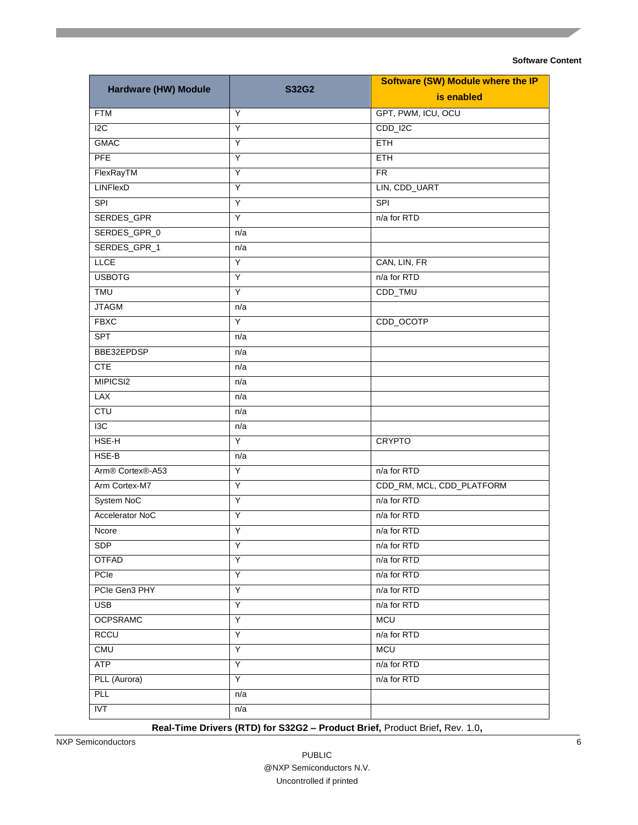| Hardware (HW) Module                      | <b>S32G2</b> | <b>Software (SW) Module where the IP</b> |  |  |  |  |
|-------------------------------------------|--------------|------------------------------------------|--|--|--|--|
|                                           |              | is enabled                               |  |  |  |  |
| <b>FTM</b>                                | Y            | GPT, PWM, ICU, OCU                       |  |  |  |  |
| 12C                                       | Y            | CDD_I2C                                  |  |  |  |  |
| <b>GMAC</b>                               | Y            | <b>ETH</b>                               |  |  |  |  |
| PFE                                       | Υ            | <b>ETH</b>                               |  |  |  |  |
| FlexRayTM                                 | Y            | <b>FR</b>                                |  |  |  |  |
| <b>LINFlexD</b>                           | Y            | LIN, CDD_UART                            |  |  |  |  |
| SPI                                       | Y            | <b>SPI</b>                               |  |  |  |  |
| SERDES_GPR                                | Y            | n/a for RTD                              |  |  |  |  |
| SERDES_GPR_0                              | n/a          |                                          |  |  |  |  |
| SERDES_GPR_1                              | n/a          |                                          |  |  |  |  |
| <b>LLCE</b>                               | Υ            | CAN, LIN, FR                             |  |  |  |  |
| <b>USBOTG</b>                             | Υ            | n/a for RTD                              |  |  |  |  |
| <b>TMU</b>                                | Y            | CDD_TMU                                  |  |  |  |  |
| <b>JTAGM</b>                              | n/a          |                                          |  |  |  |  |
| <b>FBXC</b>                               | Y            | CDD_OCOTP                                |  |  |  |  |
| <b>SPT</b>                                | n/a          |                                          |  |  |  |  |
| BBE32EPDSP                                | n/a          |                                          |  |  |  |  |
| <b>CTE</b>                                | n/a          |                                          |  |  |  |  |
| MIPICSI2                                  | n/a          |                                          |  |  |  |  |
| LAX                                       | n/a          |                                          |  |  |  |  |
| <b>CTU</b>                                | n/a          |                                          |  |  |  |  |
| 13C                                       | n/a          |                                          |  |  |  |  |
| HSE-H                                     | Y            | <b>CRYPTO</b>                            |  |  |  |  |
| HSE-B                                     | n/a          |                                          |  |  |  |  |
| Arm <sup>®</sup> Cortex <sup>®</sup> -A53 | Y            | n/a for RTD                              |  |  |  |  |
| Arm Cortex-M7                             | Y            | CDD_RM, MCL, CDD_PLATFORM                |  |  |  |  |
| System NoC                                | Y            | n/a for RTD                              |  |  |  |  |
| Accelerator NoC                           | Y            | n/a for RTD                              |  |  |  |  |
| Ncore                                     | Υ            | n/a for RTD                              |  |  |  |  |
| <b>SDP</b>                                | Y            | n/a for RTD                              |  |  |  |  |
| <b>OTFAD</b>                              | Y            | n/a for RTD                              |  |  |  |  |
| PCIe                                      | Y            | n/a for RTD                              |  |  |  |  |
| PCIe Gen3 PHY                             | Y            | n/a for RTD                              |  |  |  |  |
| <b>USB</b>                                | Υ            | n/a for RTD                              |  |  |  |  |
| <b>OCPSRAMC</b>                           | Υ            | <b>MCU</b>                               |  |  |  |  |
| <b>RCCU</b>                               | Υ            | n/a for RTD                              |  |  |  |  |
| <b>CMU</b>                                | Υ            | <b>MCU</b>                               |  |  |  |  |
| <b>ATP</b>                                | Υ            | n/a for RTD                              |  |  |  |  |
| PLL (Aurora)                              | Y            | n/a for RTD                              |  |  |  |  |
| <b>PLL</b>                                | n/a          |                                          |  |  |  |  |
| <b>IVT</b>                                | n/a          |                                          |  |  |  |  |

**Real-Time Drivers (RTD) for S32G2 – Product Brief,** Product Brief**,** Rev. 1.0**,**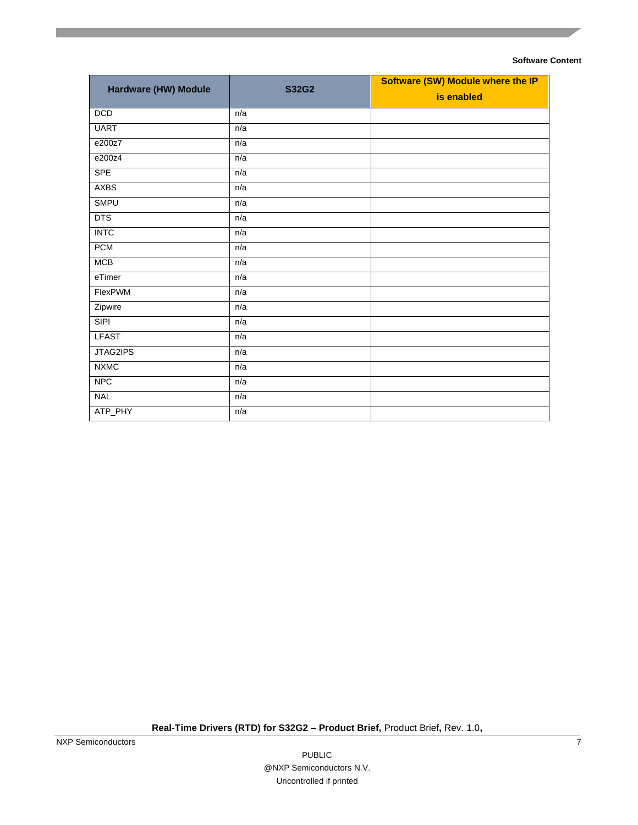| Hardware (HW) Module | <b>S32G2</b> | <b>Software (SW) Module where the IP</b> |  |  |  |  |  |
|----------------------|--------------|------------------------------------------|--|--|--|--|--|
|                      |              | is enabled                               |  |  |  |  |  |
| <b>DCD</b>           | n/a          |                                          |  |  |  |  |  |
| <b>UART</b>          | n/a          |                                          |  |  |  |  |  |
| e200z7               | n/a          |                                          |  |  |  |  |  |
| e200z4               | n/a          |                                          |  |  |  |  |  |
| <b>SPE</b>           | n/a          |                                          |  |  |  |  |  |
| <b>AXBS</b>          | n/a          |                                          |  |  |  |  |  |
| <b>SMPU</b>          | n/a          |                                          |  |  |  |  |  |
| <b>DTS</b>           | n/a          |                                          |  |  |  |  |  |
| <b>INTC</b>          | n/a          |                                          |  |  |  |  |  |
| <b>PCM</b>           | n/a          |                                          |  |  |  |  |  |
| <b>MCB</b>           | n/a          |                                          |  |  |  |  |  |
| eTimer               | n/a          |                                          |  |  |  |  |  |
| FlexPWM              | n/a          |                                          |  |  |  |  |  |
| Zipwire              | n/a          |                                          |  |  |  |  |  |
| SIPI                 | n/a          |                                          |  |  |  |  |  |
| <b>LFAST</b>         | n/a          |                                          |  |  |  |  |  |
| JTAG2IPS             | n/a          |                                          |  |  |  |  |  |
| <b>NXMC</b>          | n/a          |                                          |  |  |  |  |  |
| <b>NPC</b>           | n/a          |                                          |  |  |  |  |  |
| <b>NAL</b>           | n/a          |                                          |  |  |  |  |  |
| ATP_PHY              | n/a          |                                          |  |  |  |  |  |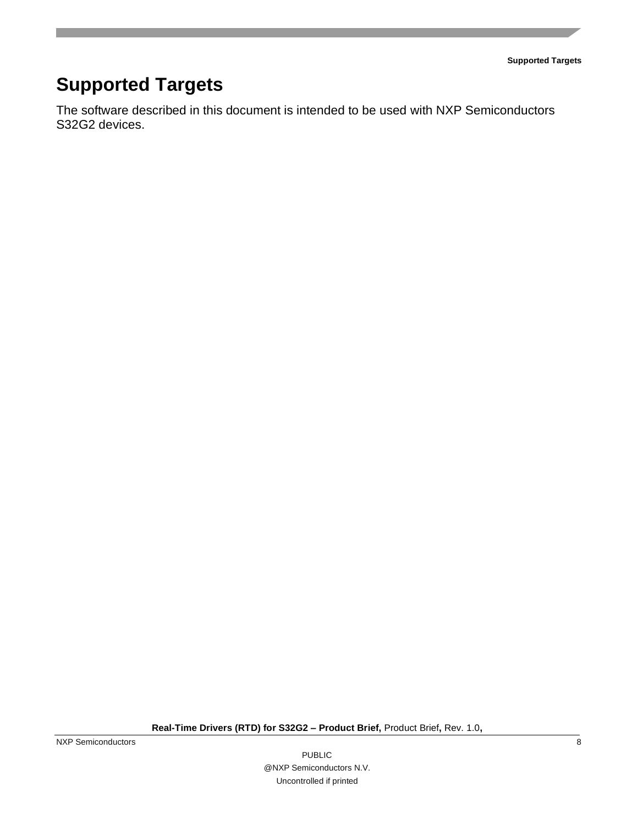**Supported Targets**

# <span id="page-7-0"></span>**Supported Targets**

The software described in this document is intended to be used with NXP Semiconductors S32G2 devices.

**Real-Time Drivers (RTD) for S32G2 – Product Brief,** Product Brief**,** Rev. 1.0**,**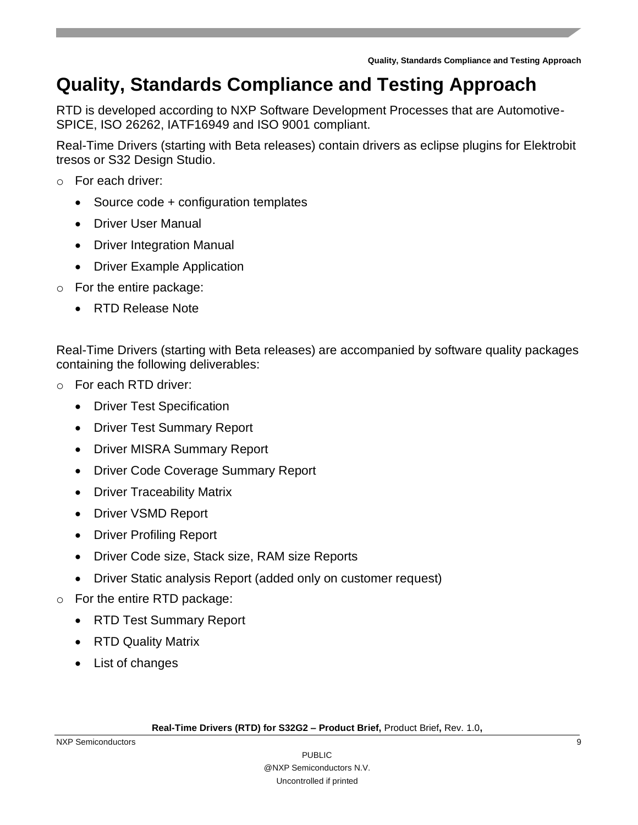**Quality, Standards Compliance and Testing Approach**

### <span id="page-8-0"></span>**Quality, Standards Compliance and Testing Approach**

RTD is developed according to NXP Software Development Processes that are Automotive-SPICE, ISO 26262, IATF16949 and ISO 9001 compliant.

Real-Time Drivers (starting with Beta releases) contain drivers as eclipse plugins for Elektrobit tresos or S32 Design Studio.

- o For each driver:
	- Source code + configuration templates
	- Driver User Manual
	- Driver Integration Manual
	- Driver Example Application
- o For the entire package:
	- RTD Release Note

Real-Time Drivers (starting with Beta releases) are accompanied by software quality packages containing the following deliverables:

- o For each RTD driver:
	- Driver Test Specification
	- Driver Test Summary Report
	- Driver MISRA Summary Report
	- Driver Code Coverage Summary Report
	- Driver Traceability Matrix
	- Driver VSMD Report
	- Driver Profiling Report
	- Driver Code size, Stack size, RAM size Reports
	- Driver Static analysis Report (added only on customer request)
- o For the entire RTD package:
	- RTD Test Summary Report
	- RTD Quality Matrix
	- List of changes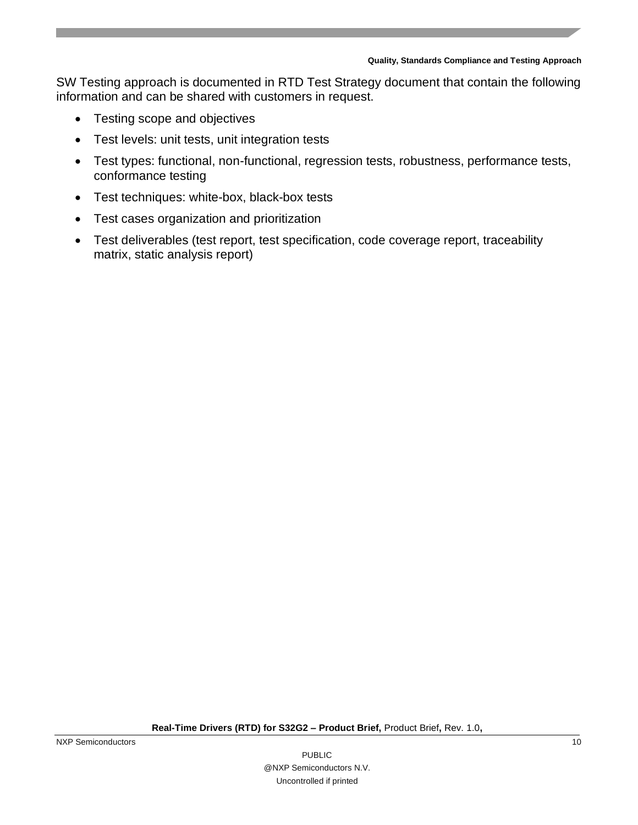#### **Quality, Standards Compliance and Testing Approach**

SW Testing approach is documented in RTD Test Strategy document that contain the following information and can be shared with customers in request.

- Testing scope and objectives
- Test levels: unit tests, unit integration tests
- Test types: functional, non-functional, regression tests, robustness, performance tests, conformance testing
- Test techniques: white-box, black-box tests
- Test cases organization and prioritization
- Test deliverables (test report, test specification, code coverage report, traceability matrix, static analysis report)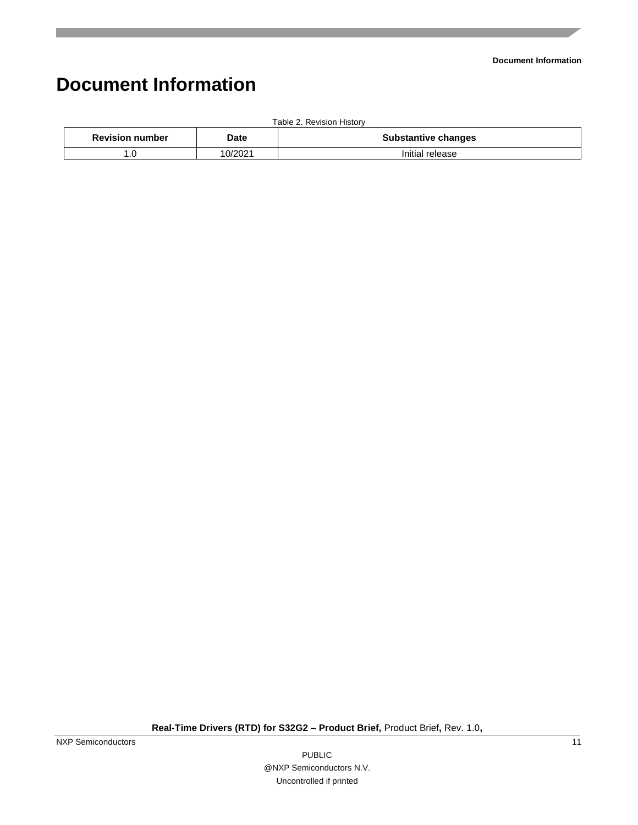## <span id="page-10-0"></span>**Document Information**

| Table 2. Revision History |         |                            |  |  |  |
|---------------------------|---------|----------------------------|--|--|--|
| <b>Revision number</b>    | Date    | <b>Substantive changes</b> |  |  |  |
|                           | 10/2021 | Initial release            |  |  |  |